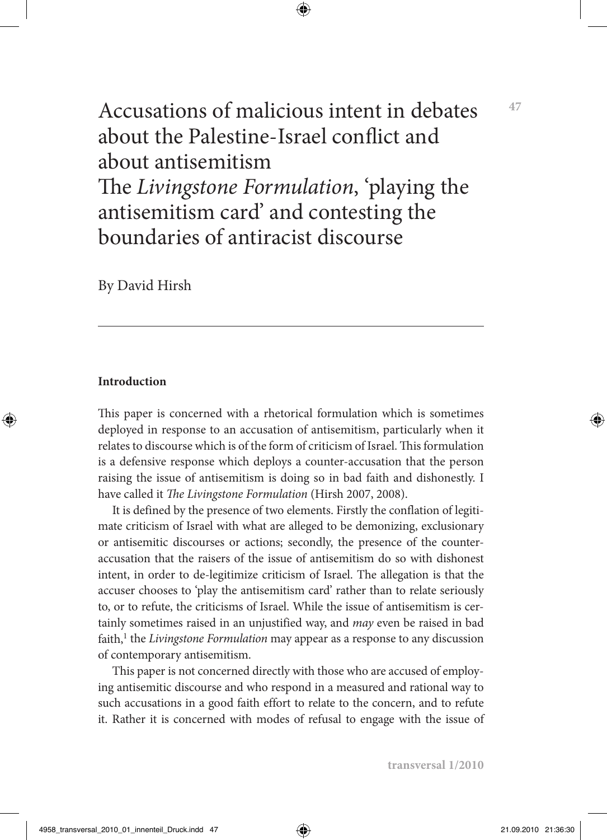Accusations of malicious intent in debates about the Palestine-Israel conflict and about antisemitism The *Livingstone Formulation*, 'playing the antisemitism card' and contesting the boundaries of antiracist discourse

By David Hirsh

### **Introduction**

This paper is concerned with a rhetorical formulation which is sometimes deployed in response to an accusation of antisemitism, particularly when it relates to discourse which is of the form of criticism of Israel. This formulation is a defensive response which deploys a counter-accusation that the person raising the issue of antisemitism is doing so in bad faith and dishonestly. I have called it *The Livingstone Formulation* (Hirsh 2007, 2008).

It is defined by the presence of two elements. Firstly the conflation of legitimate criticism of Israel with what are alleged to be demonizing, exclusionary or antisemitic discourses or actions; secondly, the presence of the counteraccusation that the raisers of the issue of antisemitism do so with dishonest intent, in order to de-legitimize criticism of Israel. The allegation is that the accuser chooses to 'play the antisemitism card' rather than to relate seriously to, or to refute, the criticisms of Israel. While the issue of antisemitism is certainly sometimes raised in an unjustified way, and *may* even be raised in bad faith,<sup>1</sup> the *Livingstone Formulation* may appear as a response to any discussion of contemporary antisemitism.

This paper is not concerned directly with those who are accused of employing antisemitic discourse and who respond in a measured and rational way to such accusations in a good faith effort to relate to the concern, and to refute it. Rather it is concerned with modes of refusal to engage with the issue of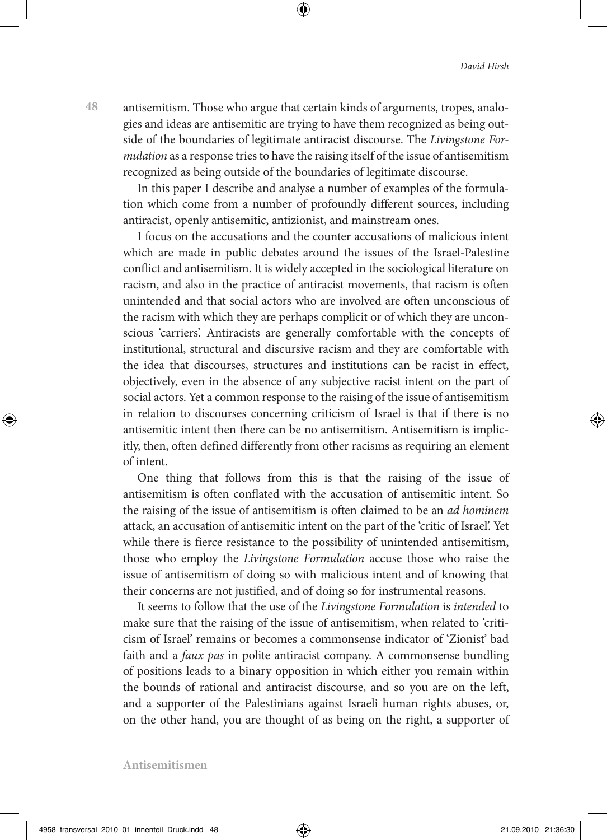antisemitism. Those who argue that certain kinds of arguments, tropes, analogies and ideas are antisemitic are trying to have them recognized as being outside of the boundaries of legitimate antiracist discourse. The *Livingstone Formulation* as a response tries to have the raising itself of the issue of antisemitism recognized as being outside of the boundaries of legitimate discourse.

In this paper I describe and analyse a number of examples of the formulation which come from a number of profoundly different sources, including antiracist, openly antisemitic, antizionist, and mainstream ones.

I focus on the accusations and the counter accusations of malicious intent which are made in public debates around the issues of the Israel-Palestine conflict and antisemitism. It is widely accepted in the sociological literature on racism, and also in the practice of antiracist movements, that racism is often unintended and that social actors who are involved are often unconscious of the racism with which they are perhaps complicit or of which they are unconscious 'carriers'. Antiracists are generally comfortable with the concepts of institutional, structural and discursive racism and they are comfortable with the idea that discourses, structures and institutions can be racist in effect, objectively, even in the absence of any subjective racist intent on the part of social actors. Yet a common response to the raising of the issue of antisemitism in relation to discourses concerning criticism of Israel is that if there is no antisemitic intent then there can be no antisemitism. Antisemitism is implicitly, then, often defined differently from other racisms as requiring an element of intent.

One thing that follows from this is that the raising of the issue of antisemitism is often conflated with the accusation of antisemitic intent. So the raising of the issue of antisemitism is often claimed to be an *ad hominem* attack, an accusation of antisemitic intent on the part of the 'critic of Israel'. Yet while there is fierce resistance to the possibility of unintended antisemitism, those who employ the *Livingstone Formulation* accuse those who raise the issue of antisemitism of doing so with malicious intent and of knowing that their concerns are not justified, and of doing so for instrumental reasons.

It seems to follow that the use of the *Livingstone Formulation* is *intended* to make sure that the raising of the issue of antisemitism, when related to 'criticism of Israel' remains or becomes a commonsense indicator of 'Zionist' bad faith and a *faux pas* in polite antiracist company. A commonsense bundling of positions leads to a binary opposition in which either you remain within the bounds of rational and antiracist discourse, and so you are on the left, and a supporter of the Palestinians against Israeli human rights abuses, or, on the other hand, you are thought of as being on the right, a supporter of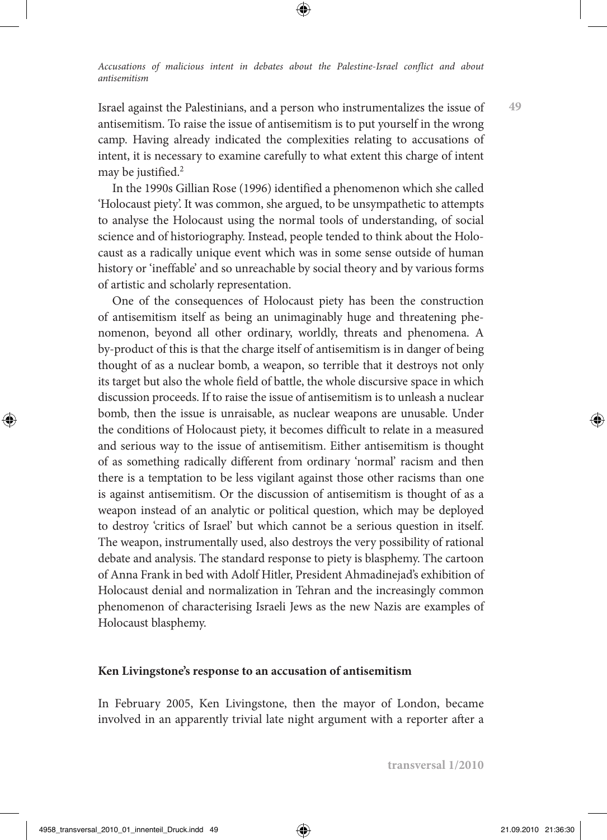Israel against the Palestinians, and a person who instrumentalizes the issue of antisemitism. To raise the issue of antisemitism is to put yourself in the wrong camp. Having already indicated the complexities relating to accusations of intent, it is necessary to examine carefully to what extent this charge of intent may be justified.2

In the 1990s Gillian Rose (1996) identified a phenomenon which she called 'Holocaust piety'. It was common, she argued, to be unsympathetic to attempts to analyse the Holocaust using the normal tools of understanding, of social science and of historiography. Instead, people tended to think about the Holocaust as a radically unique event which was in some sense outside of human history or 'ineffable' and so unreachable by social theory and by various forms of artistic and scholarly representation.

One of the consequences of Holocaust piety has been the construction of antisemitism itself as being an unimaginably huge and threatening phenomenon, beyond all other ordinary, worldly, threats and phenomena. A by-product of this is that the charge itself of antisemitism is in danger of being thought of as a nuclear bomb, a weapon, so terrible that it destroys not only its target but also the whole field of battle, the whole discursive space in which discussion proceeds. If to raise the issue of antisemitism is to unleash a nuclear bomb, then the issue is unraisable, as nuclear weapons are unusable. Under the conditions of Holocaust piety, it becomes difficult to relate in a measured and serious way to the issue of antisemitism. Either antisemitism is thought of as something radically different from ordinary 'normal' racism and then there is a temptation to be less vigilant against those other racisms than one is against antisemitism. Or the discussion of antisemitism is thought of as a weapon instead of an analytic or political question, which may be deployed to destroy 'critics of Israel' but which cannot be a serious question in itself. The weapon, instrumentally used, also destroys the very possibility of rational debate and analysis. The standard response to piety is blasphemy. The cartoon of Anna Frank in bed with Adolf Hitler, President Ahmadinejad's exhibition of Holocaust denial and normalization in Tehran and the increasingly common phenomenon of characterising Israeli Jews as the new Nazis are examples of Holocaust blasphemy.

#### **Ken Livingstone's response to an accusation of antisemitism**

In February 2005, Ken Livingstone, then the mayor of London, became involved in an apparently trivial late night argument with a reporter after a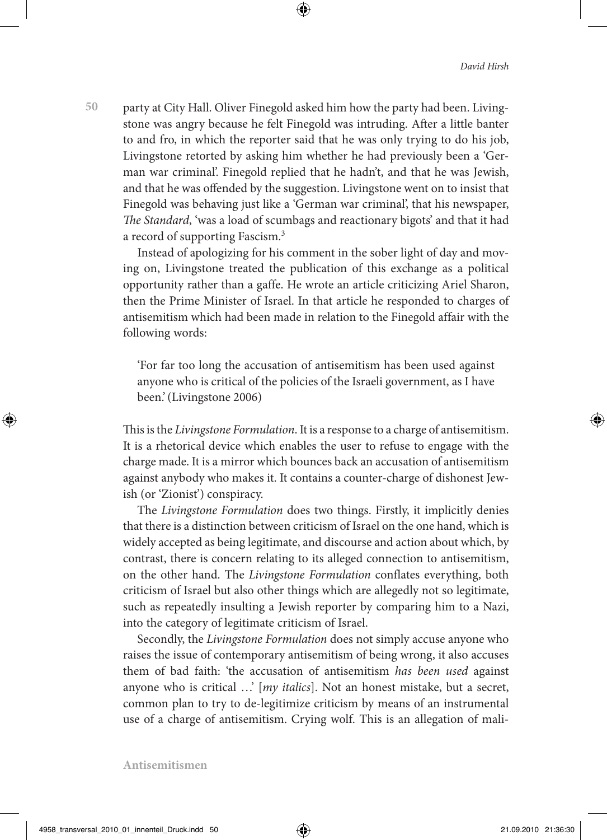**50** party at City Hall. Oliver Finegold asked him how the party had been. Livingstone was angry because he felt Finegold was intruding. After a little banter to and fro, in which the reporter said that he was only trying to do his job, Livingstone retorted by asking him whether he had previously been a 'German war criminal'. Finegold replied that he hadn't, and that he was Jewish, and that he was offended by the suggestion. Livingstone went on to insist that Finegold was behaving just like a 'German war criminal', that his newspaper, *The Standard*, 'was a load of scumbags and reactionary bigots' and that it had a record of supporting Fascism.3

Instead of apologizing for his comment in the sober light of day and moving on, Livingstone treated the publication of this exchange as a political opportunity rather than a gaffe. He wrote an article criticizing Ariel Sharon, then the Prime Minister of Israel. In that article he responded to charges of antisemitism which had been made in relation to the Finegold affair with the following words:

'For far too long the accusation of antisemitism has been used against anyone who is critical of the policies of the Israeli government, as I have been.'(Livingstone 2006)

This is the *Livingstone Formulation*. It is a response to a charge of antisemitism. It is a rhetorical device which enables the user to refuse to engage with the charge made. It is a mirror which bounces back an accusation of antisemitism against anybody who makes it. It contains a counter-charge of dishonest Jewish (or 'Zionist') conspiracy.

The *Livingstone Formulation* does two things. Firstly, it implicitly denies that there is a distinction between criticism of Israel on the one hand, which is widely accepted as being legitimate, and discourse and action about which, by contrast, there is concern relating to its alleged connection to antisemitism, on the other hand. The *Livingstone Formulation* conflates everything, both criticism of Israel but also other things which are allegedly not so legitimate, such as repeatedly insulting a Jewish reporter by comparing him to a Nazi, into the category of legitimate criticism of Israel.

Secondly, the *Livingstone Formulation* does not simply accuse anyone who raises the issue of contemporary antisemitism of being wrong, it also accuses them of bad faith: 'the accusation of antisemitism *has been used* against anyone who is critical …' [*my italics*]. Not an honest mistake, but a secret, common plan to try to de-legitimize criticism by means of an instrumental use of a charge of antisemitism. Crying wolf. This is an allegation of mali-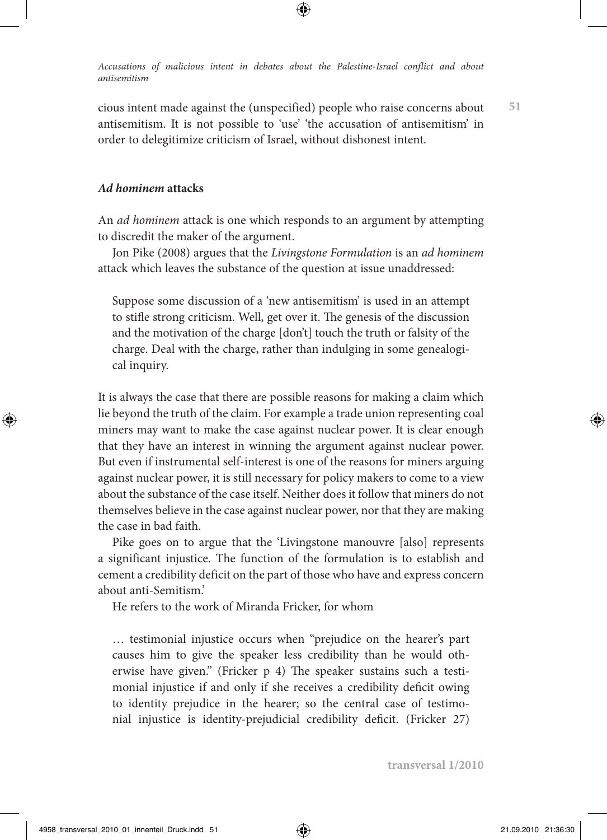cious intent made against the (unspecified) people who raise concerns about antisemitism. It is not possible to 'use' 'the accusation of antisemitism' in order to delegitimize criticism of Israel, without dishonest intent.

**51**

## *Ad hominem* **attacks**

An *ad hominem* attack is one which responds to an argument by attempting to discredit the maker of the argument.

Jon Pike (2008) argues that the *Livingstone Formulation* is an *ad hominem* attack which leaves the substance of the question at issue unaddressed:

Suppose some discussion of a 'new antisemitism' is used in an attempt to stifle strong criticism. Well, get over it. The genesis of the discussion and the motivation of the charge [don't] touch the truth or falsity of the charge. Deal with the charge, rather than indulging in some genealogical inquiry.

It is always the case that there are possible reasons for making a claim which lie beyond the truth of the claim. For example a trade union representing coal miners may want to make the case against nuclear power. It is clear enough that they have an interest in winning the argument against nuclear power. But even if instrumental self-interest is one of the reasons for miners arguing against nuclear power, it is still necessary for policy makers to come to a view about the substance of the case itself. Neither does it follow that miners do not themselves believe in the case against nuclear power, nor that they are making the case in bad faith.

Pike goes on to argue that the 'Livingstone manouvre [also] represents a significant injustice. The function of the formulation is to establish and cement a credibility deficit on the part of those who have and express concern about anti-Semitism.'

He refers to the work of Miranda Fricker, for whom

… testimonial injustice occurs when "prejudice on the hearer's part causes him to give the speaker less credibility than he would otherwise have given." (Fricker p 4) The speaker sustains such a testimonial injustice if and only if she receives a credibility deficit owing to identity prejudice in the hearer; so the central case of testimonial injustice is identity-prejudicial credibility deficit. (Fricker 27)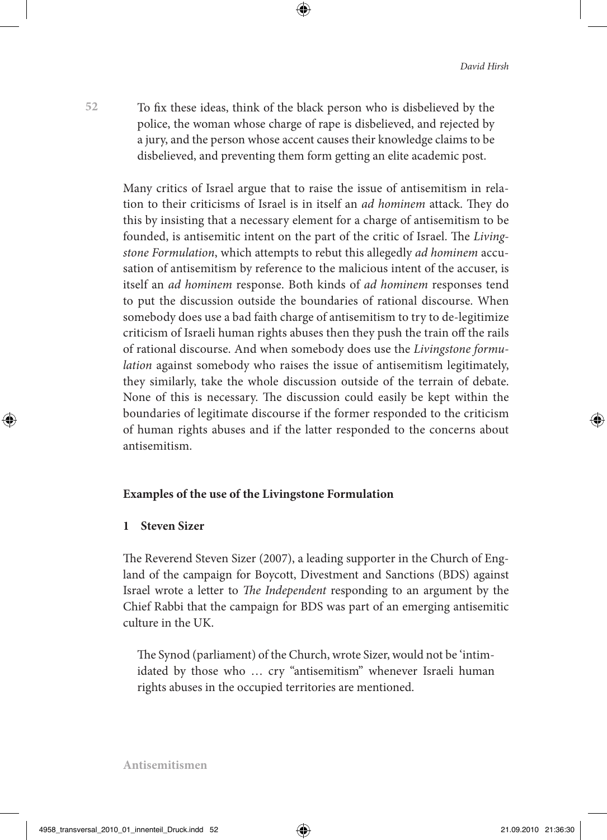To fix these ideas, think of the black person who is disbelieved by the police, the woman whose charge of rape is disbelieved, and rejected by a jury, and the person whose accent causes their knowledge claims to be disbelieved, and preventing them form getting an elite academic post.

Many critics of Israel argue that to raise the issue of antisemitism in relation to their criticisms of Israel is in itself an *ad hominem* attack. They do this by insisting that a necessary element for a charge of antisemitism to be founded, is antisemitic intent on the part of the critic of Israel. The *Livingstone Formulation*, which attempts to rebut this allegedly *ad hominem* accusation of antisemitism by reference to the malicious intent of the accuser, is itself an *ad hominem* response. Both kinds of *ad hominem* responses tend to put the discussion outside the boundaries of rational discourse. When somebody does use a bad faith charge of antisemitism to try to de-legitimize criticism of Israeli human rights abuses then they push the train off the rails of rational discourse. And when somebody does use the *Livingstone formulation* against somebody who raises the issue of antisemitism legitimately, they similarly, take the whole discussion outside of the terrain of debate. None of this is necessary. The discussion could easily be kept within the boundaries of legitimate discourse if the former responded to the criticism of human rights abuses and if the latter responded to the concerns about antisemitism.

## **Examples of the use of the Livingstone Formulation**

### **1 Steven Sizer**

The Reverend Steven Sizer (2007), a leading supporter in the Church of England of the campaign for Boycott, Divestment and Sanctions (BDS) against Israel wrote a letter to *The Independent* responding to an argument by the Chief Rabbi that the campaign for BDS was part of an emerging antisemitic culture in the UK.

The Synod (parliament) of the Church, wrote Sizer, would not be 'intimidated by those who … cry "antisemitism" whenever Israeli human rights abuses in the occupied territories are mentioned.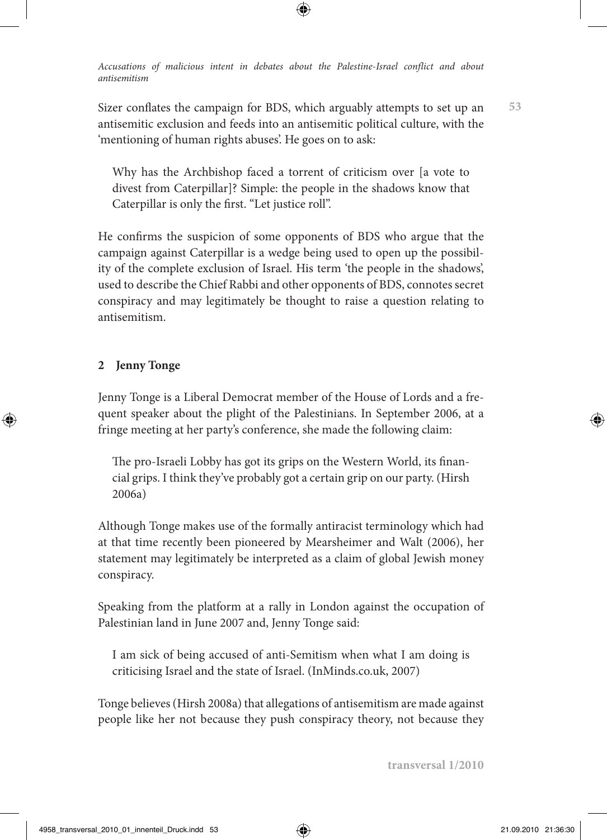Sizer conflates the campaign for BDS, which arguably attempts to set up an antisemitic exclusion and feeds into an antisemitic political culture, with the 'mentioning of human rights abuses'. He goes on to ask:

Why has the Archbishop faced a torrent of criticism over [a vote to divest from Caterpillar]? Simple: the people in the shadows know that Caterpillar is only the first. "Let justice roll".

He confirms the suspicion of some opponents of BDS who argue that the campaign against Caterpillar is a wedge being used to open up the possibility of the complete exclusion of Israel. His term 'the people in the shadows', used to describe the Chief Rabbi and other opponents of BDS, connotes secret conspiracy and may legitimately be thought to raise a question relating to antisemitism.

# **2 Jenny Tonge**

Jenny Tonge is a Liberal Democrat member of the House of Lords and a frequent speaker about the plight of the Palestinians. In September 2006, at a fringe meeting at her party's conference, she made the following claim:

The pro-Israeli Lobby has got its grips on the Western World, its financial grips. I think they've probably got a certain grip on our party. (Hirsh 2006a)

Although Tonge makes use of the formally antiracist terminology which had at that time recently been pioneered by Mearsheimer and Walt (2006), her statement may legitimately be interpreted as a claim of global Jewish money conspiracy.

Speaking from the platform at a rally in London against the occupation of Palestinian land in June 2007 and, Jenny Tonge said:

I am sick of being accused of anti-Semitism when what I am doing is criticising Israel and the state of Israel. (InMinds.co.uk, 2007)

Tonge believes (Hirsh 2008a) that allegations of antisemitism are made against people like her not because they push conspiracy theory, not because they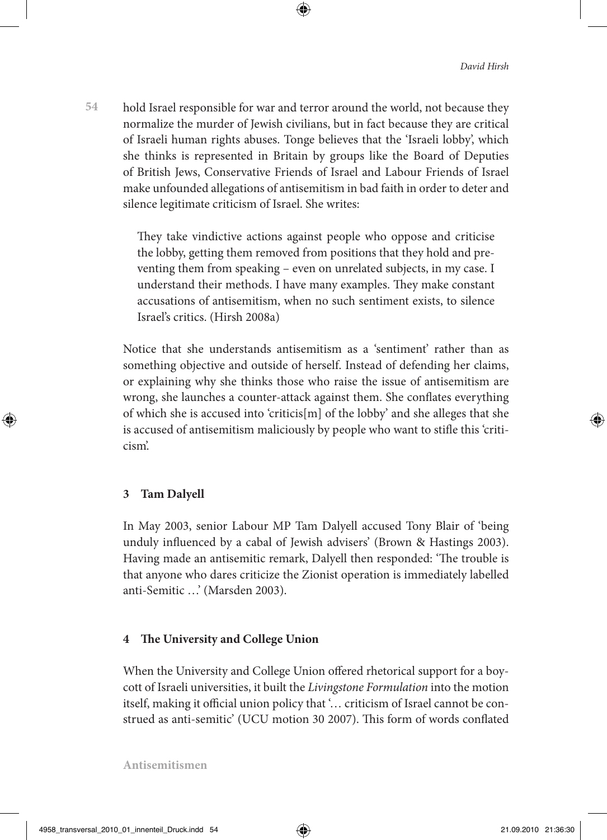**54** hold Israel responsible for war and terror around the world, not because they normalize the murder of Jewish civilians, but in fact because they are critical of Israeli human rights abuses. Tonge believes that the 'Israeli lobby', which she thinks is represented in Britain by groups like the Board of Deputies of British Jews, Conservative Friends of Israel and Labour Friends of Israel make unfounded allegations of antisemitism in bad faith in order to deter and silence legitimate criticism of Israel. She writes:

> They take vindictive actions against people who oppose and criticise the lobby, getting them removed from positions that they hold and preventing them from speaking – even on unrelated subjects, in my case. I understand their methods. I have many examples. They make constant accusations of antisemitism, when no such sentiment exists, to silence Israel's critics. (Hirsh 2008a)

Notice that she understands antisemitism as a 'sentiment' rather than as something objective and outside of herself. Instead of defending her claims, or explaining why she thinks those who raise the issue of antisemitism are wrong, she launches a counter-attack against them. She conflates everything of which she is accused into 'criticis[m] of the lobby' and she alleges that she is accused of antisemitism maliciously by people who want to stifle this 'criticism'.

# **3 Tam Dalyell**

In May 2003, senior Labour MP Tam Dalyell accused Tony Blair of 'being unduly influenced by a cabal of Jewish advisers' (Brown & Hastings 2003). Having made an antisemitic remark, Dalyell then responded: 'The trouble is that anyone who dares criticize the Zionist operation is immediately labelled anti-Semitic …' (Marsden 2003).

# **4 The University and College Union**

When the University and College Union offered rhetorical support for a boycott of Israeli universities, it built the *Livingstone Formulation* into the motion itself, making it official union policy that '… criticism of Israel cannot be construed as anti-semitic' (UCU motion 30 2007). This form of words conflated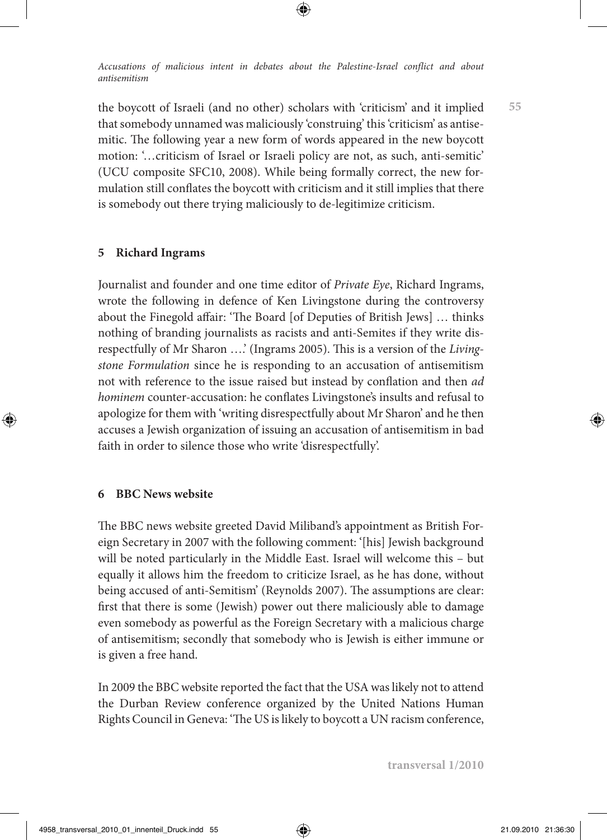the boycott of Israeli (and no other) scholars with 'criticism' and it implied that somebody unnamed was maliciously 'construing' this 'criticism' as antisemitic. The following year a new form of words appeared in the new boycott motion: '…criticism of Israel or Israeli policy are not, as such, anti-semitic' (UCU composite SFC10, 2008). While being formally correct, the new formulation still conflates the boycott with criticism and it still implies that there is somebody out there trying maliciously to de-legitimize criticism.

# **5 Richard Ingrams**

Journalist and founder and one time editor of *Private Eye*, Richard Ingrams, wrote the following in defence of Ken Livingstone during the controversy about the Finegold affair: 'The Board [of Deputies of British Jews] … thinks nothing of branding journalists as racists and anti-Semites if they write disrespectfully of Mr Sharon ….' (Ingrams 2005). This is a version of the *Livingstone Formulation* since he is responding to an accusation of antisemitism not with reference to the issue raised but instead by conflation and then *ad hominem* counter-accusation: he conflates Livingstone's insults and refusal to apologize for them with 'writing disrespectfully about Mr Sharon' and he then accuses a Jewish organization of issuing an accusation of antisemitism in bad faith in order to silence those who write 'disrespectfully'.

## **6 BBC News website**

The BBC news website greeted David Miliband's appointment as British Foreign Secretary in 2007 with the following comment: '[his] Jewish background will be noted particularly in the Middle East. Israel will welcome this – but equally it allows him the freedom to criticize Israel, as he has done, without being accused of anti-Semitism' (Reynolds 2007). The assumptions are clear: first that there is some (Jewish) power out there maliciously able to damage even somebody as powerful as the Foreign Secretary with a malicious charge of antisemitism; secondly that somebody who is Jewish is either immune or is given a free hand.

In 2009 the BBC website reported the fact that the USA was likely not to attend the Durban Review conference organized by the United Nations Human Rights Council in Geneva: 'The US is likely to boycott a UN racism conference,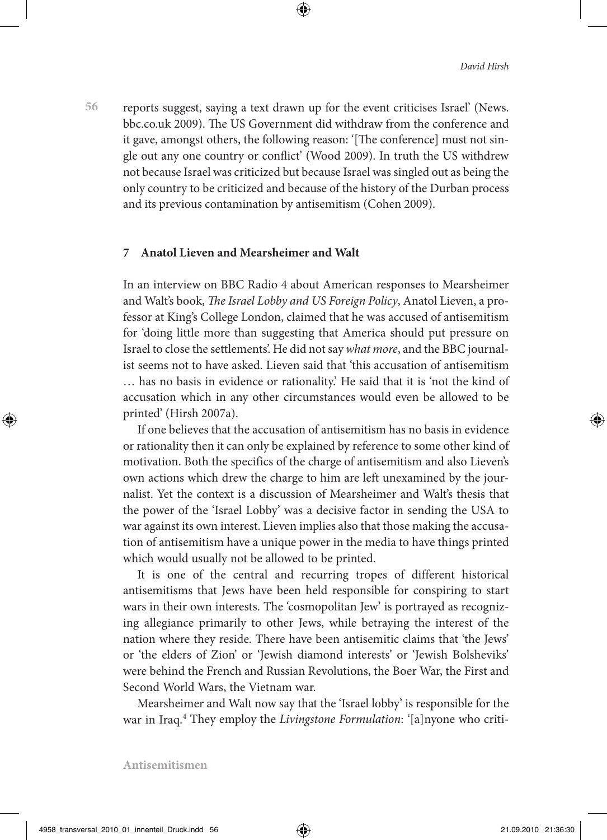**56** reports suggest, saying a text drawn up for the event criticises Israel' (News. bbc.co.uk 2009). The US Government did withdraw from the conference and it gave, amongst others, the following reason: '[The conference] must not single out any one country or conflict' (Wood 2009). In truth the US withdrew not because Israel was criticized but because Israel was singled out as being the only country to be criticized and because of the history of the Durban process and its previous contamination by antisemitism (Cohen 2009).

### **7 Anatol Lieven and Mearsheimer and Walt**

In an interview on BBC Radio 4 about American responses to Mearsheimer and Walt's book, *The Israel Lobby and US Foreign Policy*, Anatol Lieven, a professor at King's College London, claimed that he was accused of antisemitism for 'doing little more than suggesting that America should put pressure on Israel to close the settlements'. He did not say *what more*, and the BBC journalist seems not to have asked. Lieven said that 'this accusation of antisemitism … has no basis in evidence or rationality.' He said that it is 'not the kind of accusation which in any other circumstances would even be allowed to be printed' (Hirsh 2007a).

If one believes that the accusation of antisemitism has no basis in evidence or rationality then it can only be explained by reference to some other kind of motivation. Both the specifics of the charge of antisemitism and also Lieven's own actions which drew the charge to him are left unexamined by the journalist. Yet the context is a discussion of Mearsheimer and Walt's thesis that the power of the 'Israel Lobby' was a decisive factor in sending the USA to war against its own interest. Lieven implies also that those making the accusation of antisemitism have a unique power in the media to have things printed which would usually not be allowed to be printed.

It is one of the central and recurring tropes of different historical antisemitisms that Jews have been held responsible for conspiring to start wars in their own interests. The 'cosmopolitan Jew' is portrayed as recognizing allegiance primarily to other Jews, while betraying the interest of the nation where they reside. There have been antisemitic claims that 'the Jews' or 'the elders of Zion' or 'Jewish diamond interests' or 'Jewish Bolsheviks' were behind the French and Russian Revolutions, the Boer War, the First and Second World Wars, the Vietnam war.

Mearsheimer and Walt now say that the 'Israel lobby' is responsible for the war in Iraq.4 They employ the *Livingstone Formulation*: '[a]nyone who criti-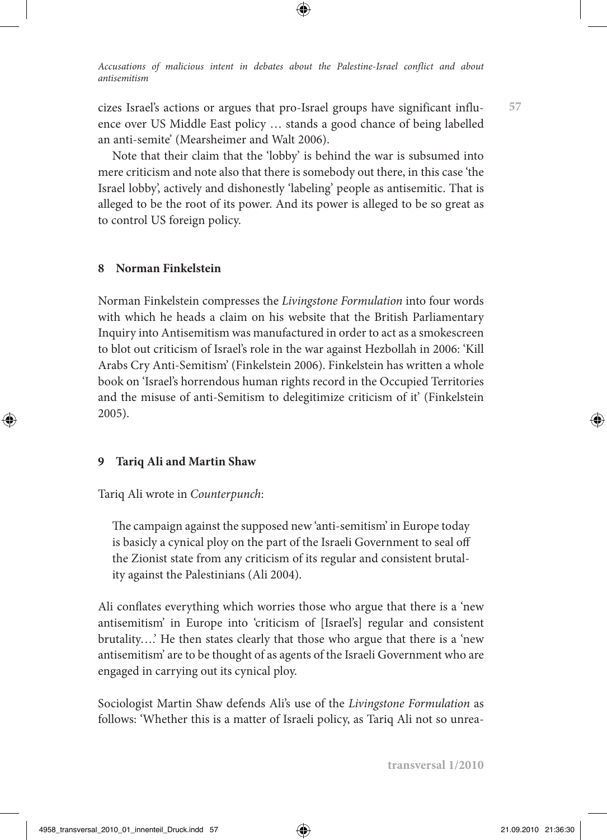cizes Israel's actions or argues that pro-Israel groups have significant influence over US Middle East policy … stands a good chance of being labelled an anti-semite' (Mearsheimer and Walt 2006).

Note that their claim that the 'lobby' is behind the war is subsumed into mere criticism and note also that there is somebody out there, in this case 'the Israel lobby', actively and dishonestly 'labeling' people as antisemitic. That is alleged to be the root of its power. And its power is alleged to be so great as to control US foreign policy.

### **8 Norman Finkelstein**

Norman Finkelstein compresses the *Livingstone Formulation* into four words with which he heads a claim on his website that the British Parliamentary Inquiry into Antisemitism was manufactured in order to act as a smokescreen to blot out criticism of Israel's role in the war against Hezbollah in 2006: 'Kill Arabs Cry Anti-Semitism' (Finkelstein 2006). Finkelstein has written a whole book on 'Israel's horrendous human rights record in the Occupied Territories and the misuse of anti-Semitism to delegitimize criticism of it' (Finkelstein 2005).

#### **9 Tariq Ali and Martin Shaw**

### Tariq Ali wrote in *Counterpunch*:

The campaign against the supposed new 'anti-semitism' in Europe today is basicly a cynical ploy on the part of the Israeli Government to seal off the Zionist state from any criticism of its regular and consistent brutality against the Palestinians (Ali 2004).

Ali conflates everything which worries those who argue that there is a 'new antisemitism' in Europe into 'criticism of [Israel's] regular and consistent brutality….' He then states clearly that those who argue that there is a 'new antisemitism' are to be thought of as agents of the Israeli Government who are engaged in carrying out its cynical ploy.

Sociologist Martin Shaw defends Ali's use of the *Livingstone Formulation* as follows: 'Whether this is a matter of Israeli policy, as Tariq Ali not so unrea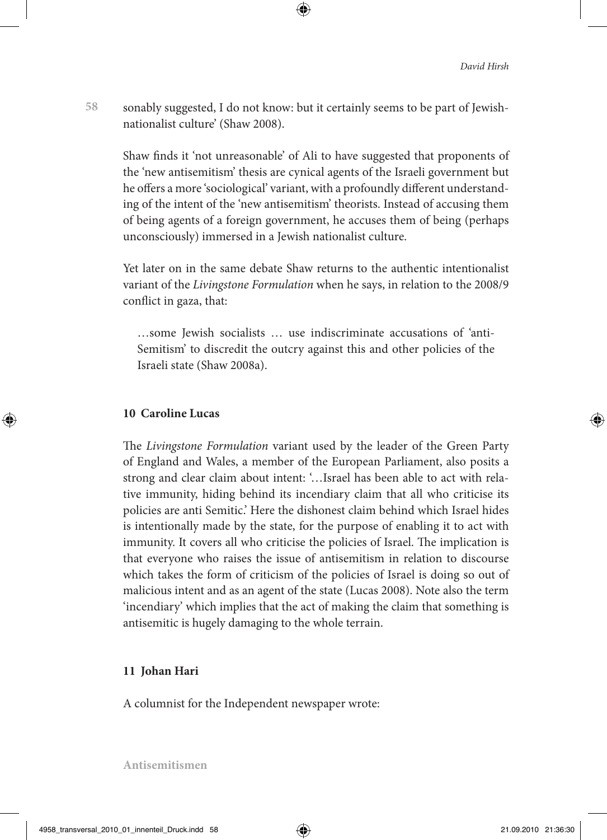**58** sonably suggested, I do not know: but it certainly seems to be part of Jewishnationalist culture' (Shaw 2008).

Shaw finds it 'not unreasonable' of Ali to have suggested that proponents of the 'new antisemitism' thesis are cynical agents of the Israeli government but he offers a more 'sociological' variant, with a profoundly different understanding of the intent of the 'new antisemitism' theorists. Instead of accusing them of being agents of a foreign government, he accuses them of being (perhaps unconsciously) immersed in a Jewish nationalist culture.

Yet later on in the same debate Shaw returns to the authentic intentionalist variant of the *Livingstone Formulation* when he says, in relation to the 2008/9 conflict in gaza, that:

…some Jewish socialists … use indiscriminate accusations of 'anti-Semitism' to discredit the outcry against this and other policies of the Israeli state (Shaw 2008a).

### **10 Caroline Lucas**

The *Livingstone Formulation* variant used by the leader of the Green Party of England and Wales, a member of the European Parliament, also posits a strong and clear claim about intent: '…Israel has been able to act with relative immunity, hiding behind its incendiary claim that all who criticise its policies are anti Semitic.' Here the dishonest claim behind which Israel hides is intentionally made by the state, for the purpose of enabling it to act with immunity. It covers all who criticise the policies of Israel. The implication is that everyone who raises the issue of antisemitism in relation to discourse which takes the form of criticism of the policies of Israel is doing so out of malicious intent and as an agent of the state (Lucas 2008). Note also the term 'incendiary' which implies that the act of making the claim that something is antisemitic is hugely damaging to the whole terrain.

#### **11 Johan Hari**

A columnist for the Independent newspaper wrote: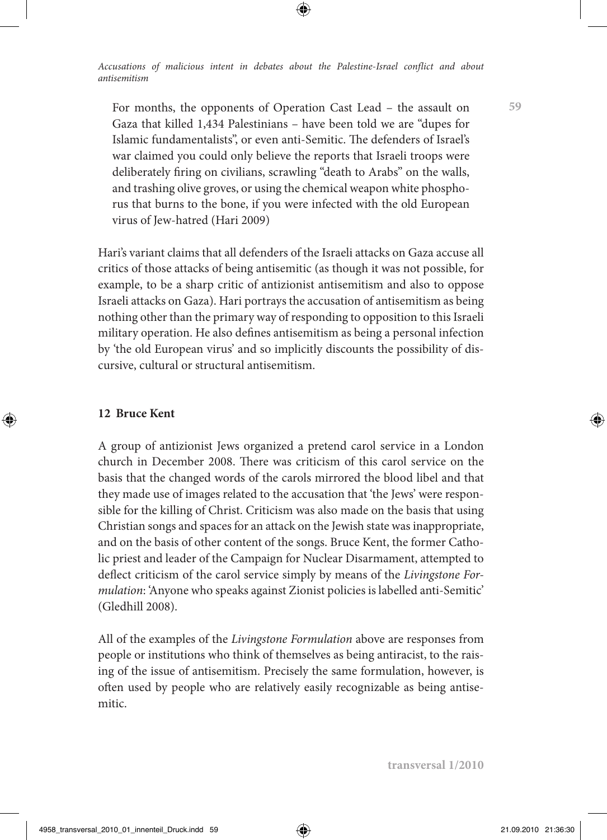For months, the opponents of Operation Cast Lead – the assault on Gaza that killed 1,434 Palestinians – have been told we are "dupes for Islamic fundamentalists", or even anti-Semitic. The defenders of Israel's war claimed you could only believe the reports that Israeli troops were deliberately firing on civilians, scrawling "death to Arabs" on the walls, and trashing olive groves, or using the chemical weapon white phosphorus that burns to the bone, if you were infected with the old European virus of Jew-hatred (Hari 2009)

Hari's variant claims that all defenders of the Israeli attacks on Gaza accuse all critics of those attacks of being antisemitic (as though it was not possible, for example, to be a sharp critic of antizionist antisemitism and also to oppose Israeli attacks on Gaza). Hari portrays the accusation of antisemitism as being nothing other than the primary way of responding to opposition to this Israeli military operation. He also defines antisemitism as being a personal infection by 'the old European virus' and so implicitly discounts the possibility of discursive, cultural or structural antisemitism.

## **12 Bruce Kent**

A group of antizionist Jews organized a pretend carol service in a London church in December 2008. There was criticism of this carol service on the basis that the changed words of the carols mirrored the blood libel and that they made use of images related to the accusation that 'the Jews' were responsible for the killing of Christ. Criticism was also made on the basis that using Christian songs and spaces for an attack on the Jewish state was inappropriate, and on the basis of other content of the songs. Bruce Kent, the former Catholic priest and leader of the Campaign for Nuclear Disarmament, attempted to deflect criticism of the carol service simply by means of the *Livingstone Formulation*: 'Anyone who speaks against Zionist policies is labelled anti-Semitic' (Gledhill 2008).

All of the examples of the *Livingstone Formulation* above are responses from people or institutions who think of themselves as being antiracist, to the raising of the issue of antisemitism. Precisely the same formulation, however, is often used by people who are relatively easily recognizable as being antisemitic.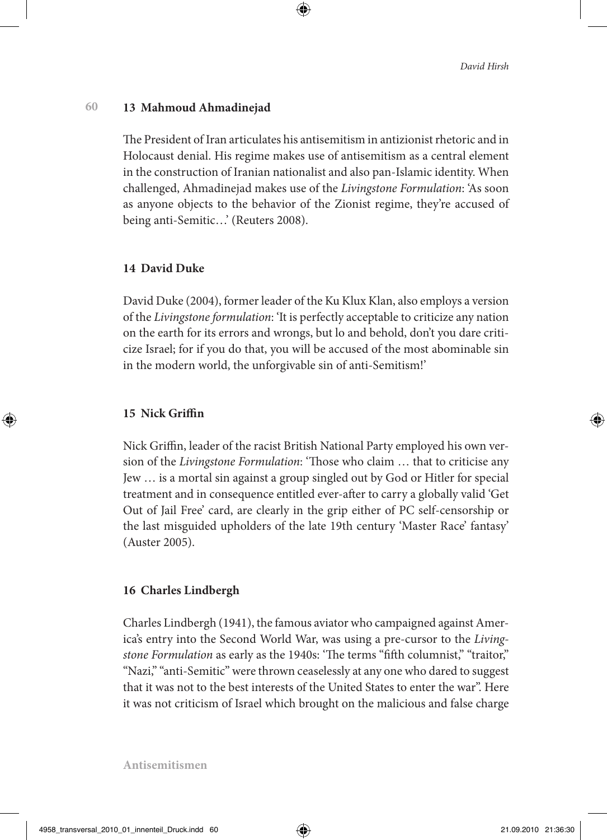#### **60 13 Mahmoud Ahmadinejad**

The President of Iran articulates his antisemitism in antizionist rhetoric and in Holocaust denial. His regime makes use of antisemitism as a central element in the construction of Iranian nationalist and also pan-Islamic identity. When challenged, Ahmadinejad makes use of the *Livingstone Formulation*: 'As soon as anyone objects to the behavior of the Zionist regime, they're accused of being anti-Semitic…' (Reuters 2008).

# **14 David Duke**

David Duke (2004), former leader of the Ku Klux Klan, also employs a version of the *Livingstone formulation*: 'It is perfectly acceptable to criticize any nation on the earth for its errors and wrongs, but lo and behold, don't you dare criticize Israel; for if you do that, you will be accused of the most abominable sin in the modern world, the unforgivable sin of anti-Semitism!'

# **15 Nick Griffin**

Nick Griffin, leader of the racist British National Party employed his own version of the *Livingstone Formulation*: 'Those who claim … that to criticise any Jew … is a mortal sin against a group singled out by God or Hitler for special treatment and in consequence entitled ever-after to carry a globally valid 'Get Out of Jail Free' card, are clearly in the grip either of PC self-censorship or the last misguided upholders of the late 19th century 'Master Race' fantasy' (Auster 2005).

# **16 Charles Lindbergh**

Charles Lindbergh (1941), the famous aviator who campaigned against America's entry into the Second World War, was using a pre-cursor to the *Livingstone Formulation* as early as the 1940s: 'The terms "fifth columnist," "traitor," "Nazi," "anti-Semitic" were thrown ceaselessly at any one who dared to suggest that it was not to the best interests of the United States to enter the war". Here it was not criticism of Israel which brought on the malicious and false charge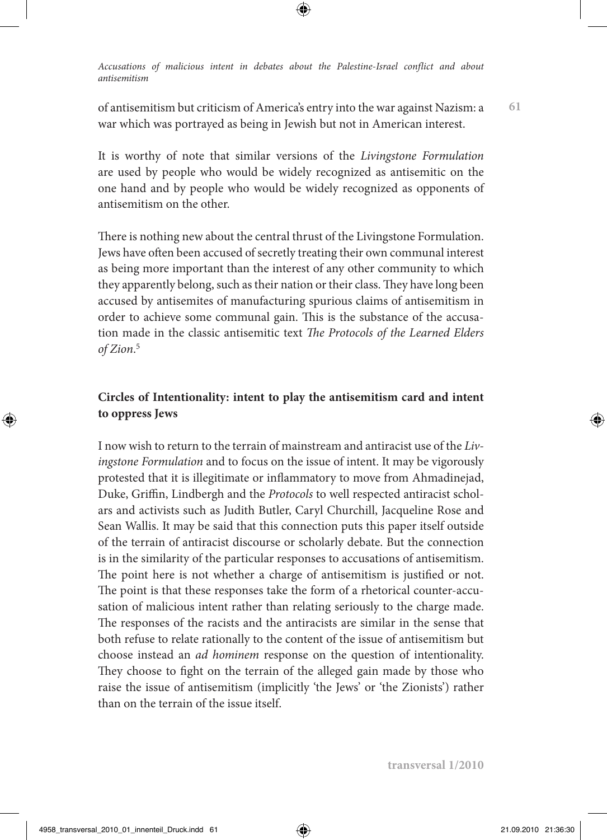of antisemitism but criticism of America's entry into the war against Nazism: a war which was portrayed as being in Jewish but not in American interest.

**61**

It is worthy of note that similar versions of the *Livingstone Formulation* are used by people who would be widely recognized as antisemitic on the one hand and by people who would be widely recognized as opponents of antisemitism on the other.

There is nothing new about the central thrust of the Livingstone Formulation. Jews have often been accused of secretly treating their own communal interest as being more important than the interest of any other community to which they apparently belong, such as their nation or their class. They have long been accused by antisemites of manufacturing spurious claims of antisemitism in order to achieve some communal gain. This is the substance of the accusation made in the classic antisemitic text *The Protocols of the Learned Elders of Zion*. 5

# **Circles of Intentionality: intent to play the antisemitism card and intent to oppress Jews**

I now wish to return to the terrain of mainstream and antiracist use of the *Livingstone Formulation* and to focus on the issue of intent. It may be vigorously protested that it is illegitimate or inflammatory to move from Ahmadinejad, Duke, Griffin, Lindbergh and the *Protocols* to well respected antiracist scholars and activists such as Judith Butler, Caryl Churchill, Jacqueline Rose and Sean Wallis. It may be said that this connection puts this paper itself outside of the terrain of antiracist discourse or scholarly debate. But the connection is in the similarity of the particular responses to accusations of antisemitism. The point here is not whether a charge of antisemitism is justified or not. The point is that these responses take the form of a rhetorical counter-accusation of malicious intent rather than relating seriously to the charge made. The responses of the racists and the antiracists are similar in the sense that both refuse to relate rationally to the content of the issue of antisemitism but choose instead an *ad hominem* response on the question of intentionality. They choose to fight on the terrain of the alleged gain made by those who raise the issue of antisemitism (implicitly 'the Jews' or 'the Zionists') rather than on the terrain of the issue itself.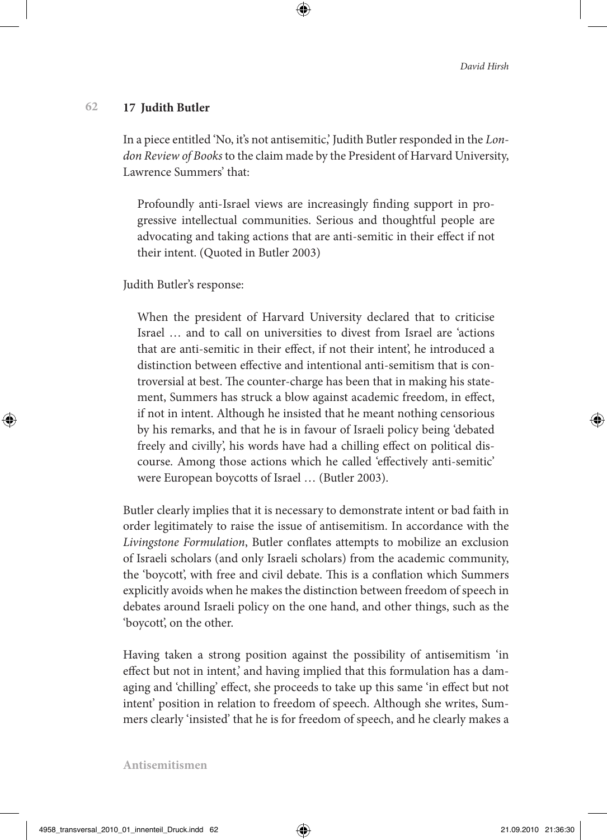#### **62 17 Judith Butler**

In a piece entitled 'No, it's not antisemitic,' Judith Butler responded in the *London Review of Books* to the claim made by the President of Harvard University, Lawrence Summers' that:

Profoundly anti-Israel views are increasingly finding support in progressive intellectual communities. Serious and thoughtful people are advocating and taking actions that are anti-semitic in their effect if not their intent. (Quoted in Butler 2003)

Judith Butler's response:

When the president of Harvard University declared that to criticise Israel … and to call on universities to divest from Israel are 'actions that are anti-semitic in their effect, if not their intent', he introduced a distinction between effective and intentional anti-semitism that is controversial at best. The counter-charge has been that in making his statement, Summers has struck a blow against academic freedom, in effect, if not in intent. Although he insisted that he meant nothing censorious by his remarks, and that he is in favour of Israeli policy being 'debated freely and civilly', his words have had a chilling effect on political discourse. Among those actions which he called 'effectively anti-semitic' were European boycotts of Israel … (Butler 2003).

Butler clearly implies that it is necessary to demonstrate intent or bad faith in order legitimately to raise the issue of antisemitism. In accordance with the *Livingstone Formulation*, Butler conflates attempts to mobilize an exclusion of Israeli scholars (and only Israeli scholars) from the academic community, the 'boycott', with free and civil debate. This is a conflation which Summers explicitly avoids when he makes the distinction between freedom of speech in debates around Israeli policy on the one hand, and other things, such as the 'boycott', on the other.

Having taken a strong position against the possibility of antisemitism 'in effect but not in intent,' and having implied that this formulation has a damaging and 'chilling' effect, she proceeds to take up this same 'in effect but not intent' position in relation to freedom of speech. Although she writes, Summers clearly 'insisted' that he is for freedom of speech, and he clearly makes a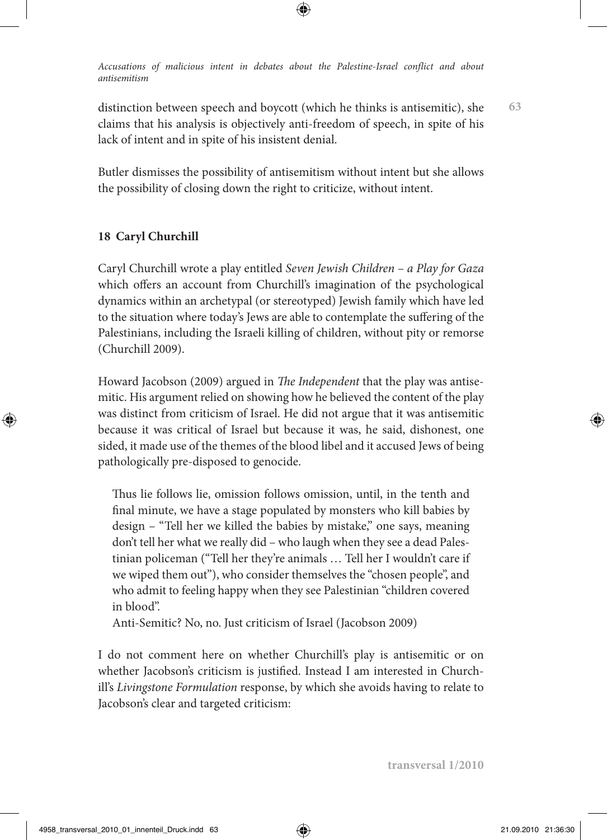distinction between speech and boycott (which he thinks is antisemitic), she claims that his analysis is objectively anti-freedom of speech, in spite of his lack of intent and in spite of his insistent denial.

Butler dismisses the possibility of antisemitism without intent but she allows the possibility of closing down the right to criticize, without intent.

# **18 Caryl Churchill**

Caryl Churchill wrote a play entitled *Seven Jewish Children – a Play for Gaza* which offers an account from Churchill's imagination of the psychological dynamics within an archetypal (or stereotyped) Jewish family which have led to the situation where today's Jews are able to contemplate the suffering of the Palestinians, including the Israeli killing of children, without pity or remorse (Churchill 2009).

Howard Jacobson (2009) argued in *The Independent* that the play was antisemitic. His argument relied on showing how he believed the content of the play was distinct from criticism of Israel. He did not argue that it was antisemitic because it was critical of Israel but because it was, he said, dishonest, one sided, it made use of the themes of the blood libel and it accused Jews of being pathologically pre-disposed to genocide.

Thus lie follows lie, omission follows omission, until, in the tenth and final minute, we have a stage populated by monsters who kill babies by design – "Tell her we killed the babies by mistake," one says, meaning don't tell her what we really did – who laugh when they see a dead Palestinian policeman ("Tell her they're animals … Tell her I wouldn't care if we wiped them out"), who consider themselves the "chosen people", and who admit to feeling happy when they see Palestinian "children covered in blood".

Anti-Semitic? No, no. Just criticism of Israel (Jacobson 2009)

I do not comment here on whether Churchill's play is antisemitic or on whether Jacobson's criticism is justified. Instead I am interested in Churchill's *Livingstone Formulation* response, by which she avoids having to relate to Jacobson's clear and targeted criticism: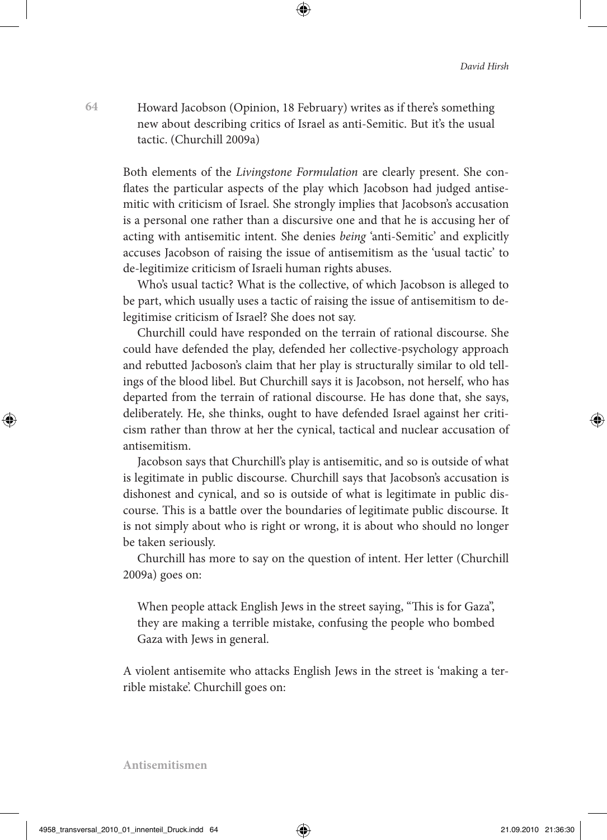Howard Jacobson (Opinion, 18 February) writes as if there's something new about describing critics of Israel as anti-Semitic. But it's the usual tactic. (Churchill 2009a)

Both elements of the *Livingstone Formulation* are clearly present. She conflates the particular aspects of the play which Jacobson had judged antisemitic with criticism of Israel. She strongly implies that Jacobson's accusation is a personal one rather than a discursive one and that he is accusing her of acting with antisemitic intent. She denies *being* 'anti-Semitic' and explicitly accuses Jacobson of raising the issue of antisemitism as the 'usual tactic' to de-legitimize criticism of Israeli human rights abuses.

Who's usual tactic? What is the collective, of which Jacobson is alleged to be part, which usually uses a tactic of raising the issue of antisemitism to delegitimise criticism of Israel? She does not say.

Churchill could have responded on the terrain of rational discourse. She could have defended the play, defended her collective-psychology approach and rebutted Jacboson's claim that her play is structurally similar to old tellings of the blood libel. But Churchill says it is Jacobson, not herself, who has departed from the terrain of rational discourse. He has done that, she says, deliberately. He, she thinks, ought to have defended Israel against her criticism rather than throw at her the cynical, tactical and nuclear accusation of antisemitism.

Jacobson says that Churchill's play is antisemitic, and so is outside of what is legitimate in public discourse. Churchill says that Jacobson's accusation is dishonest and cynical, and so is outside of what is legitimate in public discourse. This is a battle over the boundaries of legitimate public discourse. It is not simply about who is right or wrong, it is about who should no longer be taken seriously.

Churchill has more to say on the question of intent. Her letter (Churchill 2009a) goes on:

When people attack English Jews in the street saying, "This is for Gaza", they are making a terrible mistake, confusing the people who bombed Gaza with Jews in general.

A violent antisemite who attacks English Jews in the street is 'making a terrible mistake'. Churchill goes on: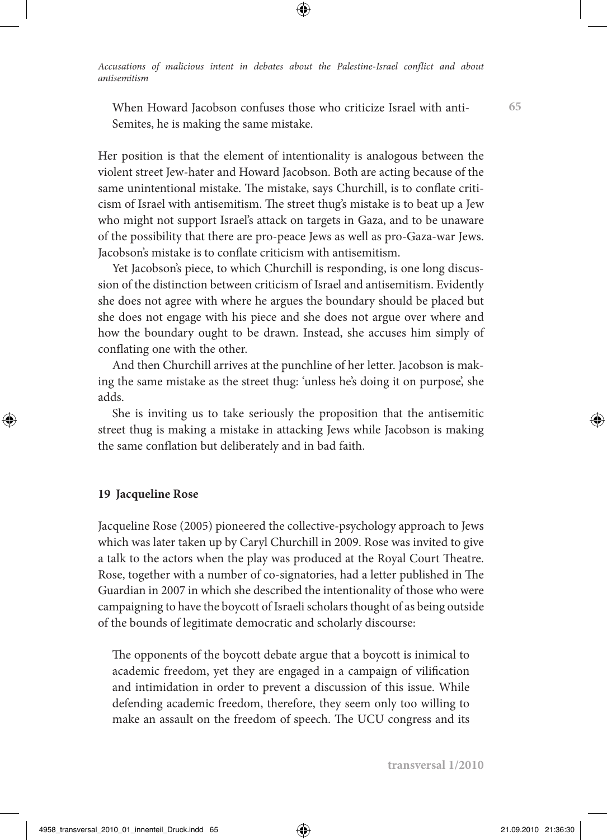When Howard Jacobson confuses those who criticize Israel with anti-Semites, he is making the same mistake.

Her position is that the element of intentionality is analogous between the violent street Jew-hater and Howard Jacobson. Both are acting because of the same unintentional mistake. The mistake, says Churchill, is to conflate criticism of Israel with antisemitism. The street thug's mistake is to beat up a Jew who might not support Israel's attack on targets in Gaza, and to be unaware of the possibility that there are pro-peace Jews as well as pro-Gaza-war Jews. Jacobson's mistake is to conflate criticism with antisemitism.

Yet Jacobson's piece, to which Churchill is responding, is one long discussion of the distinction between criticism of Israel and antisemitism. Evidently she does not agree with where he argues the boundary should be placed but she does not engage with his piece and she does not argue over where and how the boundary ought to be drawn. Instead, she accuses him simply of conflating one with the other.

And then Churchill arrives at the punchline of her letter. Jacobson is making the same mistake as the street thug: 'unless he's doing it on purpose', she adds.

She is inviting us to take seriously the proposition that the antisemitic street thug is making a mistake in attacking Jews while Jacobson is making the same conflation but deliberately and in bad faith.

### **19 Jacqueline Rose**

Jacqueline Rose (2005) pioneered the collective-psychology approach to Jews which was later taken up by Caryl Churchill in 2009. Rose was invited to give a talk to the actors when the play was produced at the Royal Court Theatre. Rose, together with a number of co-signatories, had a letter published in The Guardian in 2007 in which she described the intentionality of those who were campaigning to have the boycott of Israeli scholars thought of as being outside of the bounds of legitimate democratic and scholarly discourse:

The opponents of the boycott debate argue that a boycott is inimical to academic freedom, yet they are engaged in a campaign of vilification and intimidation in order to prevent a discussion of this issue. While defending academic freedom, therefore, they seem only too willing to make an assault on the freedom of speech. The UCU congress and its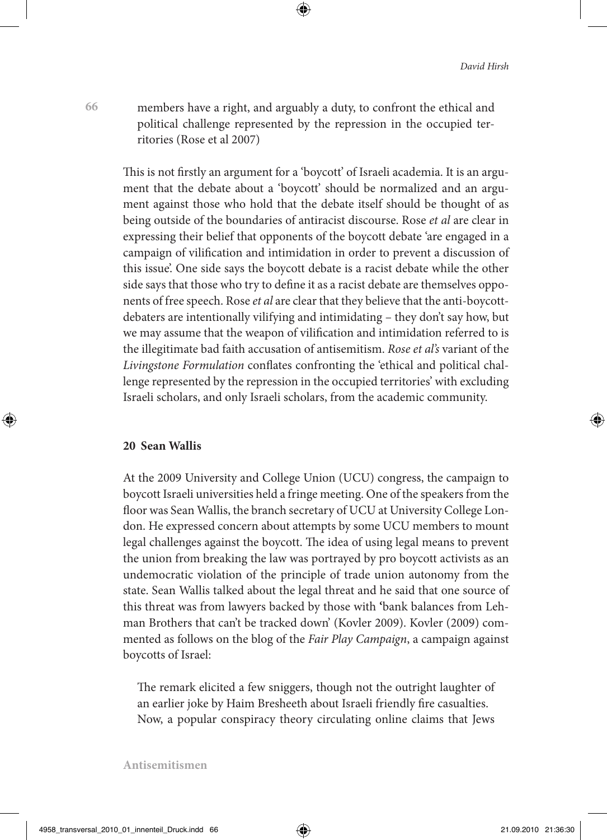members have a right, and arguably a duty, to confront the ethical and political challenge represented by the repression in the occupied territories (Rose et al 2007)

This is not firstly an argument for a 'boycott' of Israeli academia. It is an argument that the debate about a 'boycott' should be normalized and an argument against those who hold that the debate itself should be thought of as being outside of the boundaries of antiracist discourse. Rose *et al* are clear in expressing their belief that opponents of the boycott debate 'are engaged in a campaign of vilification and intimidation in order to prevent a discussion of this issue'. One side says the boycott debate is a racist debate while the other side says that those who try to define it as a racist debate are themselves opponents of free speech. Rose *et al* are clear that they believe that the anti-boycottdebaters are intentionally vilifying and intimidating – they don't say how, but we may assume that the weapon of vilification and intimidation referred to is the illegitimate bad faith accusation of antisemitism. *Rose et al's* variant of the *Livingstone Formulation* conflates confronting the 'ethical and political challenge represented by the repression in the occupied territories' with excluding Israeli scholars, and only Israeli scholars, from the academic community.

## **20 Sean Wallis**

**66**

At the 2009 University and College Union (UCU) congress, the campaign to boycott Israeli universities held a fringe meeting. One of the speakers from the floor was Sean Wallis, the branch secretary of UCU at University College London. He expressed concern about attempts by some UCU members to mount legal challenges against the boycott. The idea of using legal means to prevent the union from breaking the law was portrayed by pro boycott activists as an undemocratic violation of the principle of trade union autonomy from the state. Sean Wallis talked about the legal threat and he said that one source of this threat was from lawyers backed by those with **'**bank balances from Lehman Brothers that can't be tracked down' (Kovler 2009). Kovler (2009) commented as follows on the blog of the *Fair Play Campaign*, a campaign against boycotts of Israel:

The remark elicited a few sniggers, though not the outright laughter of an earlier joke by Haim Bresheeth about Israeli friendly fire casualties. Now, a popular conspiracy theory circulating online claims that Jews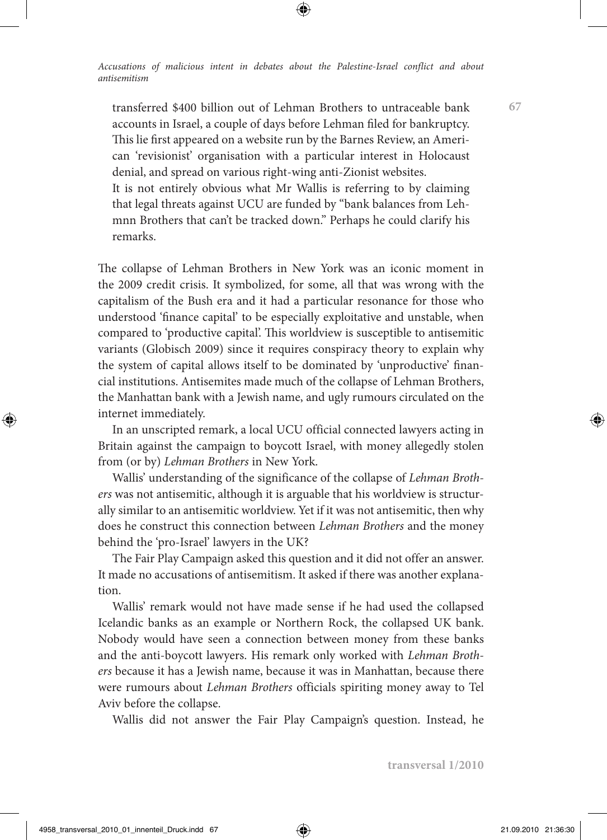transferred \$400 billion out of Lehman Brothers to untraceable bank accounts in Israel, a couple of days before Lehman filed for bankruptcy. This lie first appeared on a website run by the Barnes Review, an American 'revisionist' organisation with a particular interest in Holocaust denial, and spread on various right-wing anti-Zionist websites.

It is not entirely obvious what Mr Wallis is referring to by claiming that legal threats against UCU are funded by "bank balances from Lehmnn Brothers that can't be tracked down." Perhaps he could clarify his remarks.

The collapse of Lehman Brothers in New York was an iconic moment in the 2009 credit crisis. It symbolized, for some, all that was wrong with the capitalism of the Bush era and it had a particular resonance for those who understood 'finance capital' to be especially exploitative and unstable, when compared to 'productive capital'. This worldview is susceptible to antisemitic variants (Globisch 2009) since it requires conspiracy theory to explain why the system of capital allows itself to be dominated by 'unproductive' financial institutions. Antisemites made much of the collapse of Lehman Brothers, the Manhattan bank with a Jewish name, and ugly rumours circulated on the internet immediately.

In an unscripted remark, a local UCU official connected lawyers acting in Britain against the campaign to boycott Israel, with money allegedly stolen from (or by) *Lehman Brothers* in New York.

Wallis' understanding of the significance of the collapse of *Lehman Brothers* was not antisemitic, although it is arguable that his worldview is structurally similar to an antisemitic worldview. Yet if it was not antisemitic, then why does he construct this connection between *Lehman Brothers* and the money behind the 'pro-Israel' lawyers in the UK?

The Fair Play Campaign asked this question and it did not offer an answer. It made no accusations of antisemitism. It asked if there was another explanation.

Wallis' remark would not have made sense if he had used the collapsed Icelandic banks as an example or Northern Rock, the collapsed UK bank. Nobody would have seen a connection between money from these banks and the anti-boycott lawyers. His remark only worked with *Lehman Brothers* because it has a Jewish name, because it was in Manhattan, because there were rumours about *Lehman Brothers* officials spiriting money away to Tel Aviv before the collapse.

Wallis did not answer the Fair Play Campaign's question. Instead, he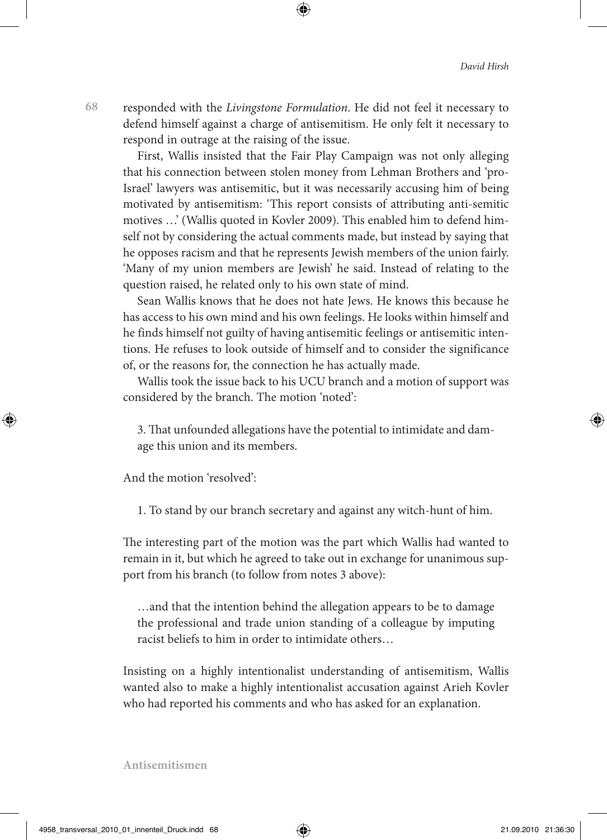responded with the *Livingstone Formulation*. He did not feel it necessary to defend himself against a charge of antisemitism. He only felt it necessary to respond in outrage at the raising of the issue.

First, Wallis insisted that the Fair Play Campaign was not only alleging that his connection between stolen money from Lehman Brothers and 'pro-Israel' lawyers was antisemitic, but it was necessarily accusing him of being motivated by antisemitism: 'This report consists of attributing anti-semitic motives …' (Wallis quoted in Kovler 2009). This enabled him to defend himself not by considering the actual comments made, but instead by saying that he opposes racism and that he represents Jewish members of the union fairly. 'Many of my union members are Jewish' he said. Instead of relating to the question raised, he related only to his own state of mind.

Sean Wallis knows that he does not hate Jews. He knows this because he has access to his own mind and his own feelings. He looks within himself and he finds himself not guilty of having antisemitic feelings or antisemitic intentions. He refuses to look outside of himself and to consider the significance of, or the reasons for, the connection he has actually made.

Wallis took the issue back to his UCU branch and a motion of support was considered by the branch. The motion 'noted':

3. That unfounded allegations have the potential to intimidate and damage this union and its members.

And the motion 'resolved':

1. To stand by our branch secretary and against any witch-hunt of him.

The interesting part of the motion was the part which Wallis had wanted to remain in it, but which he agreed to take out in exchange for unanimous support from his branch (to follow from notes 3 above):

…and that the intention behind the allegation appears to be to damage the professional and trade union standing of a colleague by imputing racist beliefs to him in order to intimidate others…

Insisting on a highly intentionalist understanding of antisemitism, Wallis wanted also to make a highly intentionalist accusation against Arieh Kovler who had reported his comments and who has asked for an explanation.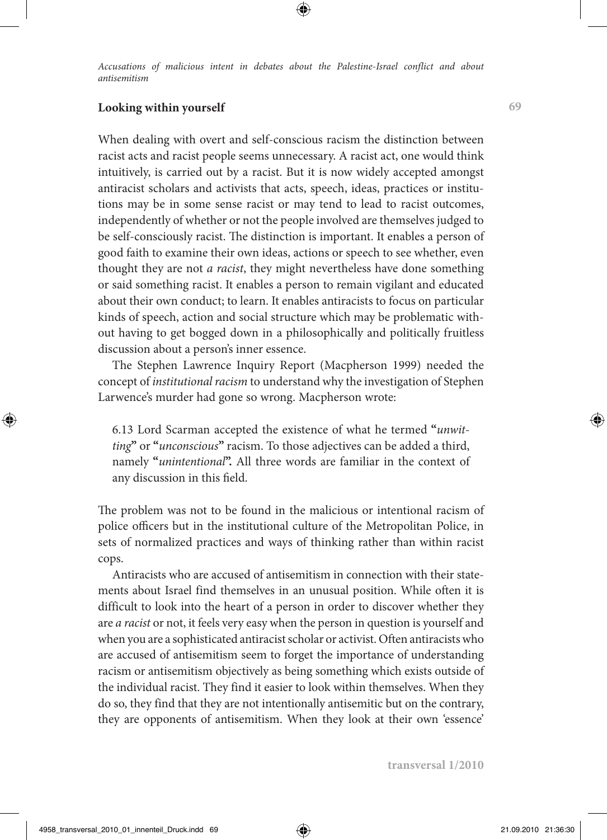# **Looking within yourself**

When dealing with overt and self-conscious racism the distinction between racist acts and racist people seems unnecessary. A racist act, one would think intuitively, is carried out by a racist. But it is now widely accepted amongst antiracist scholars and activists that acts, speech, ideas, practices or institutions may be in some sense racist or may tend to lead to racist outcomes, independently of whether or not the people involved are themselves judged to be self-consciously racist. The distinction is important. It enables a person of good faith to examine their own ideas, actions or speech to see whether, even thought they are not *a racist*, they might nevertheless have done something or said something racist. It enables a person to remain vigilant and educated about their own conduct; to learn. It enables antiracists to focus on particular kinds of speech, action and social structure which may be problematic without having to get bogged down in a philosophically and politically fruitless discussion about a person's inner essence.

The Stephen Lawrence Inquiry Report (Macpherson 1999) needed the concept of *institutional racism* to understand why the investigation of Stephen Larwence's murder had gone so wrong. Macpherson wrote:

6.13 Lord Scarman accepted the existence of what he termed **"***unwitting***"** or **"***unconscious***"** racism. To those adjectives can be added a third, namely **"***unintentional***".** All three words are familiar in the context of any discussion in this field.

The problem was not to be found in the malicious or intentional racism of police officers but in the institutional culture of the Metropolitan Police, in sets of normalized practices and ways of thinking rather than within racist cops.

Antiracists who are accused of antisemitism in connection with their statements about Israel find themselves in an unusual position. While often it is difficult to look into the heart of a person in order to discover whether they are *a racist* or not, it feels very easy when the person in question is yourself and when you are a sophisticated antiracist scholar or activist. Often antiracists who are accused of antisemitism seem to forget the importance of understanding racism or antisemitism objectively as being something which exists outside of the individual racist. They find it easier to look within themselves. When they do so, they find that they are not intentionally antisemitic but on the contrary, they are opponents of antisemitism. When they look at their own 'essence'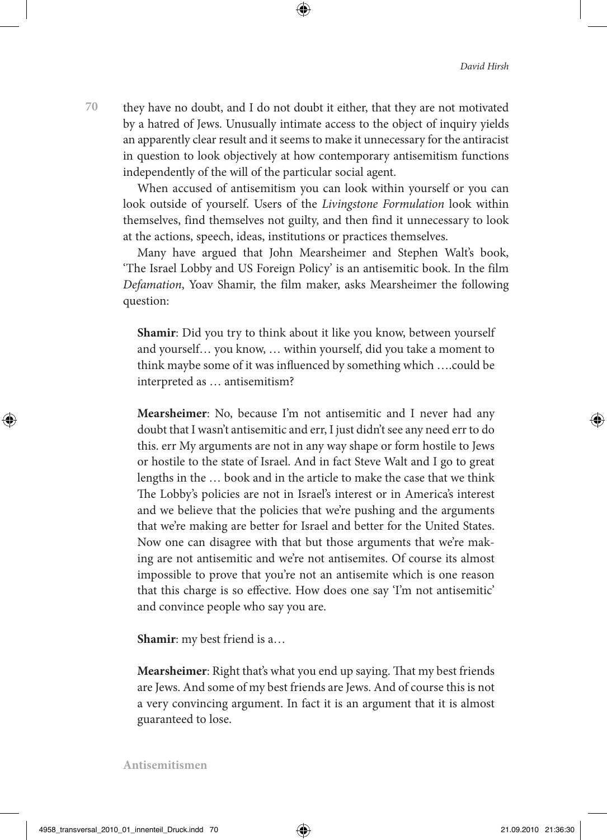they have no doubt, and I do not doubt it either, that they are not motivated by a hatred of Jews. Unusually intimate access to the object of inquiry yields an apparently clear result and it seems to make it unnecessary for the antiracist in question to look objectively at how contemporary antisemitism functions independently of the will of the particular social agent.

When accused of antisemitism you can look within yourself or you can look outside of yourself. Users of the *Livingstone Formulation* look within themselves, find themselves not guilty, and then find it unnecessary to look at the actions, speech, ideas, institutions or practices themselves.

Many have argued that John Mearsheimer and Stephen Walt's book, 'The Israel Lobby and US Foreign Policy' is an antisemitic book. In the film *Defamation*, Yoav Shamir, the film maker, asks Mearsheimer the following question:

**Shamir**: Did you try to think about it like you know, between yourself and yourself… you know, … within yourself, did you take a moment to think maybe some of it was influenced by something which ….could be interpreted as … antisemitism?

**Mearsheimer**: No, because I'm not antisemitic and I never had any doubt that I wasn't antisemitic and err, I just didn't see any need err to do this. err My arguments are not in any way shape or form hostile to Jews or hostile to the state of Israel. And in fact Steve Walt and I go to great lengths in the … book and in the article to make the case that we think The Lobby's policies are not in Israel's interest or in America's interest and we believe that the policies that we're pushing and the arguments that we're making are better for Israel and better for the United States. Now one can disagree with that but those arguments that we're making are not antisemitic and we're not antisemites. Of course its almost impossible to prove that you're not an antisemite which is one reason that this charge is so effective. How does one say 'I'm not antisemitic' and convince people who say you are.

**Shamir**: my best friend is a…

**Mearsheimer**: Right that's what you end up saying. That my best friends are Jews. And some of my best friends are Jews. And of course this is not a very convincing argument. In fact it is an argument that it is almost guaranteed to lose.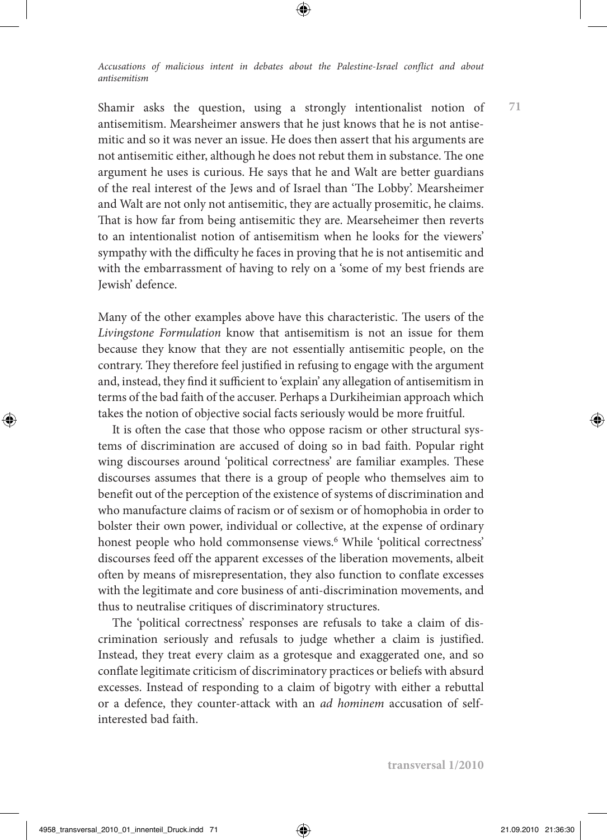Shamir asks the question, using a strongly intentionalist notion of antisemitism. Mearsheimer answers that he just knows that he is not antisemitic and so it was never an issue. He does then assert that his arguments are not antisemitic either, although he does not rebut them in substance. The one argument he uses is curious. He says that he and Walt are better guardians of the real interest of the Jews and of Israel than 'The Lobby'. Mearsheimer and Walt are not only not antisemitic, they are actually prosemitic, he claims. That is how far from being antisemitic they are. Mearseheimer then reverts to an intentionalist notion of antisemitism when he looks for the viewers' sympathy with the difficulty he faces in proving that he is not antisemitic and with the embarrassment of having to rely on a 'some of my best friends are Jewish' defence.

Many of the other examples above have this characteristic. The users of the *Livingstone Formulation* know that antisemitism is not an issue for them because they know that they are not essentially antisemitic people, on the contrary. They therefore feel justified in refusing to engage with the argument and, instead, they find it sufficient to 'explain' any allegation of antisemitism in terms of the bad faith of the accuser. Perhaps a Durkiheimian approach which takes the notion of objective social facts seriously would be more fruitful.

It is often the case that those who oppose racism or other structural systems of discrimination are accused of doing so in bad faith. Popular right wing discourses around 'political correctness' are familiar examples. These discourses assumes that there is a group of people who themselves aim to benefit out of the perception of the existence of systems of discrimination and who manufacture claims of racism or of sexism or of homophobia in order to bolster their own power, individual or collective, at the expense of ordinary honest people who hold commonsense views.<sup>6</sup> While 'political correctness' discourses feed off the apparent excesses of the liberation movements, albeit often by means of misrepresentation, they also function to conflate excesses with the legitimate and core business of anti-discrimination movements, and thus to neutralise critiques of discriminatory structures.

The 'political correctness' responses are refusals to take a claim of discrimination seriously and refusals to judge whether a claim is justified. Instead, they treat every claim as a grotesque and exaggerated one, and so conflate legitimate criticism of discriminatory practices or beliefs with absurd excesses. Instead of responding to a claim of bigotry with either a rebuttal or a defence, they counter-attack with an *ad hominem* accusation of selfinterested bad faith.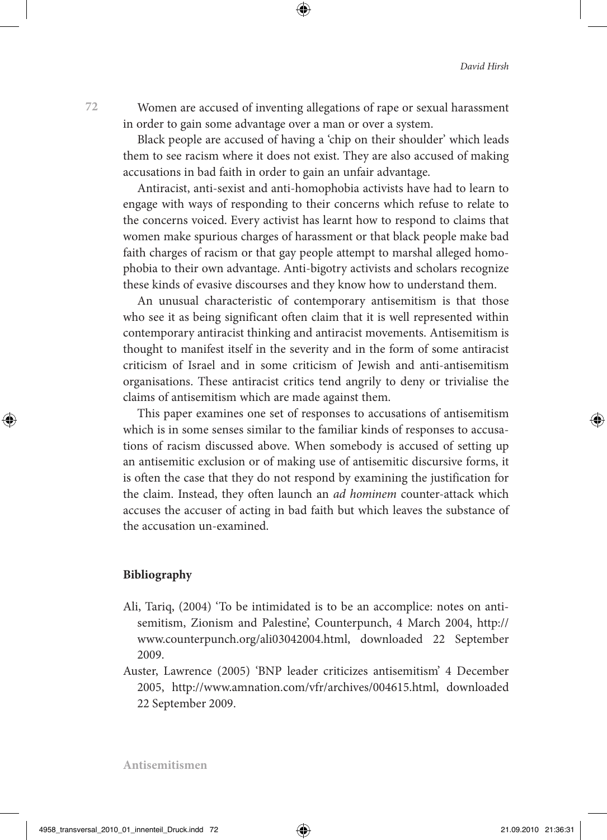Women are accused of inventing allegations of rape or sexual harassment in order to gain some advantage over a man or over a system.

Black people are accused of having a 'chip on their shoulder' which leads them to see racism where it does not exist. They are also accused of making accusations in bad faith in order to gain an unfair advantage.

Antiracist, anti-sexist and anti-homophobia activists have had to learn to engage with ways of responding to their concerns which refuse to relate to the concerns voiced. Every activist has learnt how to respond to claims that women make spurious charges of harassment or that black people make bad faith charges of racism or that gay people attempt to marshal alleged homophobia to their own advantage. Anti-bigotry activists and scholars recognize these kinds of evasive discourses and they know how to understand them.

An unusual characteristic of contemporary antisemitism is that those who see it as being significant often claim that it is well represented within contemporary antiracist thinking and antiracist movements. Antisemitism is thought to manifest itself in the severity and in the form of some antiracist criticism of Israel and in some criticism of Jewish and anti-antisemitism organisations. These antiracist critics tend angrily to deny or trivialise the claims of antisemitism which are made against them.

This paper examines one set of responses to accusations of antisemitism which is in some senses similar to the familiar kinds of responses to accusations of racism discussed above. When somebody is accused of setting up an antisemitic exclusion or of making use of antisemitic discursive forms, it is often the case that they do not respond by examining the justification for the claim. Instead, they often launch an *ad hominem* counter-attack which accuses the accuser of acting in bad faith but which leaves the substance of the accusation un-examined.

#### **Bibliography**

- Ali, Tariq, (2004) 'To be intimidated is to be an accomplice: notes on antisemitism, Zionism and Palestine', Counterpunch, 4 March 2004, http:// www.counterpunch.org/ali03042004.html, downloaded 22 September 2009.
- Auster, Lawrence (2005) 'BNP leader criticizes antisemitism' 4 December 2005, http://www.amnation.com/vfr/archives/004615.html, downloaded 22 September 2009.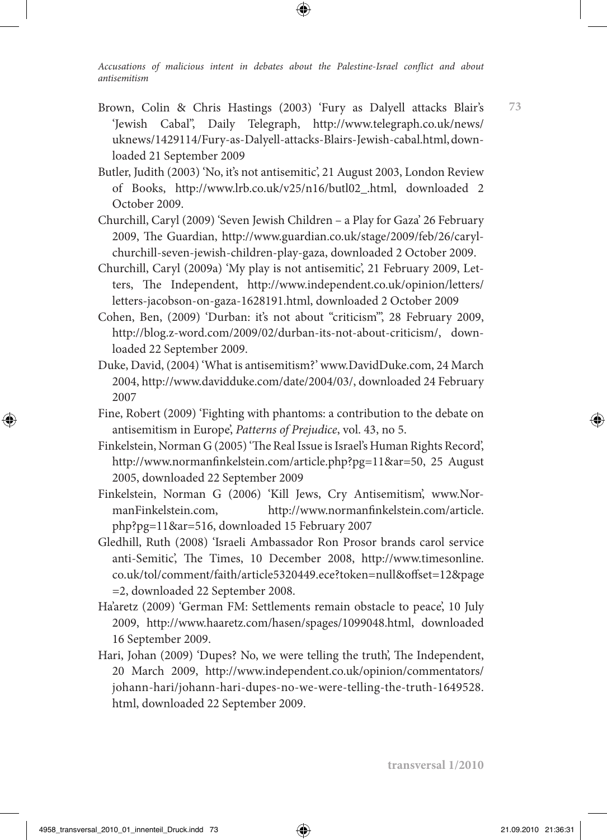- Brown, Colin & Chris Hastings (2003) 'Fury as Dalyell attacks Blair's 'Jewish Cabal'', Daily Telegraph, http://www.telegraph.co.uk/news/ uknews/1429114/Fury-as-Dalyell-attacks-Blairs-Jewish-cabal.html, downloaded 21 September 2009
- Butler, Judith (2003) 'No, it's not antisemitic', 21 August 2003, London Review of Books, http://www.lrb.co.uk/v25/n16/butl02\_.html, downloaded 2 October 2009.
- Churchill, Caryl (2009) 'Seven Jewish Children a Play for Gaza' 26 February 2009, The Guardian, http://www.guardian.co.uk/stage/2009/feb/26/carylchurchill-seven-jewish-children-play-gaza, downloaded 2 October 2009.
- Churchill, Caryl (2009a) 'My play is not antisemitic', 21 February 2009, Letters, The Independent, http://www.independent.co.uk/opinion/letters/ letters-jacobson-on-gaza-1628191.html, downloaded 2 October 2009
- Cohen, Ben, (2009) 'Durban: it's not about "criticism"', 28 February 2009, http://blog.z-word.com/2009/02/durban-its-not-about-criticism/, downloaded 22 September 2009.
- Duke, David, (2004) 'What is antisemitism?' www.DavidDuke.com, 24 March 2004, http://www.davidduke.com/date/2004/03/, downloaded 24 February 2007
- Fine, Robert (2009) 'Fighting with phantoms: a contribution to the debate on antisemitism in Europe', *Patterns of Prejudice*, vol. 43, no 5.
- Finkelstein, Norman G (2005) 'The Real Issue is Israel's Human Rights Record', http://www.normanfinkelstein.com/article.php?pg=11&ar=50, 25 August 2005, downloaded 22 September 2009
- Finkelstein, Norman G (2006) 'Kill Jews, Cry Antisemitism', www.NormanFinkelstein.com, http://www.normanfinkelstein.com/article. php?pg=11&ar=516, downloaded 15 February 2007
- Gledhill, Ruth (2008) 'Israeli Ambassador Ron Prosor brands carol service anti-Semitic', The Times, 10 December 2008, http://www.timesonline. co.uk/tol/comment/faith/article5320449.ece?token=null&offset=12&page =2, downloaded 22 September 2008.
- Ha'aretz (2009) 'German FM: Settlements remain obstacle to peace', 10 July 2009, http://www.haaretz.com/hasen/spages/1099048.html, downloaded 16 September 2009.
- Hari, Johan (2009) 'Dupes? No, we were telling the truth', The Independent, 20 March 2009, http://www.independent.co.uk/opinion/commentators/ johann-hari/johann-hari-dupes-no-we-were-telling-the-truth-1649528. html, downloaded 22 September 2009.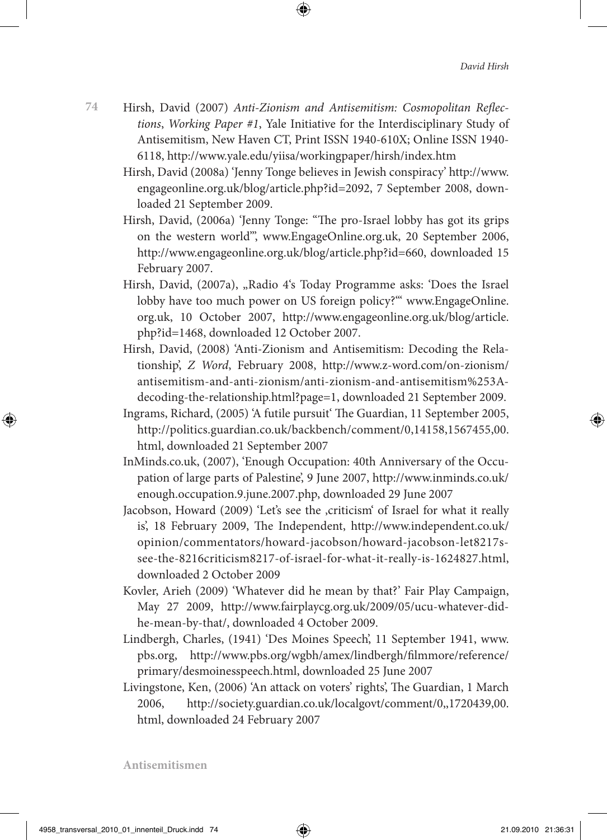- **74** Hirsh, David (2007) *Anti-Zionism and Antisemitism: Cosmopolitan Reflections*, *Working Paper #1*, Yale Initiative for the Interdisciplinary Study of Antisemitism, New Haven CT, Print ISSN 1940-610X; Online ISSN 1940- 6118, http://www.yale.edu/yiisa/workingpaper/hirsh/index.htm
	- Hirsh, David (2008a) 'Jenny Tonge believes in Jewish conspiracy' http://www. engageonline.org.uk/blog/article.php?id=2092, 7 September 2008, downloaded 21 September 2009.
	- Hirsh, David, (2006a) 'Jenny Tonge: "The pro-Israel lobby has got its grips on the western world"', www.EngageOnline.org.uk, 20 September 2006, http://www.engageonline.org.uk/blog/article.php?id=660, downloaded 15 February 2007.
	- Hirsh, David, (2007a), "Radio 4's Today Programme asks: 'Does the Israel lobby have too much power on US foreign policy?'" www.EngageOnline. org.uk, 10 October 2007, http://www.engageonline.org.uk/blog/article. php?id=1468, downloaded 12 October 2007.
	- Hirsh, David, (2008) 'Anti-Zionism and Antisemitism: Decoding the Relationship', *Z Word*, February 2008, http://www.z-word.com/on-zionism/ antisemitism-and-anti-zionism/anti-zionism-and-antisemitism%253Adecoding-the-relationship.html?page=1, downloaded 21 September 2009.
	- Ingrams, Richard, (2005) 'A futile pursuit' The Guardian, 11 September 2005, http://politics.guardian.co.uk/backbench/comment/0,14158,1567455,00. html, downloaded 21 September 2007
	- InMinds.co.uk, (2007), 'Enough Occupation: 40th Anniversary of the Occupation of large parts of Palestine', 9 June 2007, http://www.inminds.co.uk/ enough.occupation.9.june.2007.php, downloaded 29 June 2007
	- Jacobson, Howard (2009) 'Let's see the , criticism' of Israel for what it really is', 18 February 2009, The Independent, http://www.independent.co.uk/ opinion/commentators/howard-jacobson/howard-jacobson-let8217ssee-the-8216criticism8217-of-israel-for-what-it-really-is-1624827.html, downloaded 2 October 2009
	- Kovler, Arieh (2009) 'Whatever did he mean by that?' Fair Play Campaign, May 27 2009, http://www.fairplaycg.org.uk/2009/05/ucu-whatever-didhe-mean-by-that/, downloaded 4 October 2009.
	- Lindbergh, Charles, (1941) 'Des Moines Speech', 11 September 1941, www. pbs.org, http://www.pbs.org/wgbh/amex/lindbergh/filmmore/reference/ primary/desmoinesspeech.html, downloaded 25 June 2007
	- Livingstone, Ken, (2006) 'An attack on voters' rights', The Guardian, 1 March 2006, http://society.guardian.co.uk/localgovt/comment/0,,1720439,00. html, downloaded 24 February 2007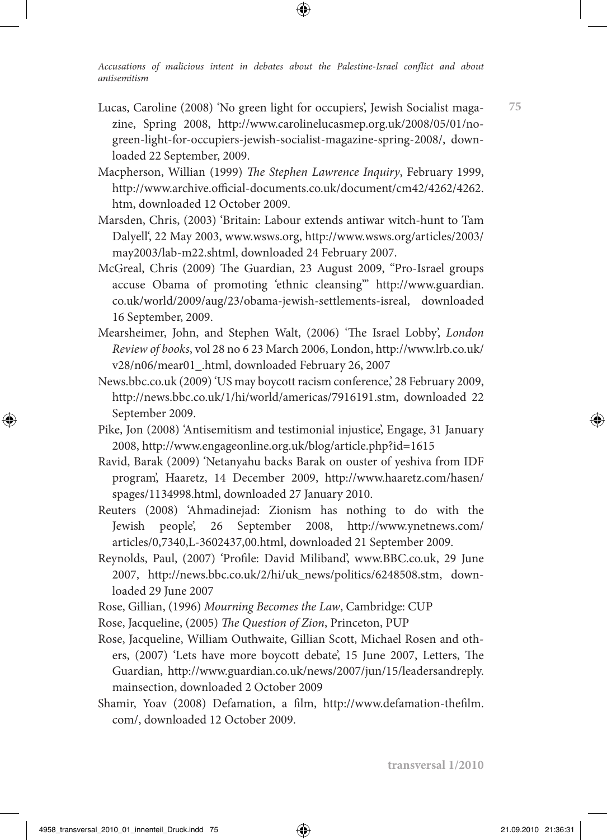- Lucas, Caroline (2008) 'No green light for occupiers', Jewish Socialist magazine, Spring 2008, http://www.carolinelucasmep.org.uk/2008/05/01/nogreen-light-for-occupiers-jewish-socialist-magazine-spring-2008/, downloaded 22 September, 2009.
- Macpherson, Willian (1999) *The Stephen Lawrence Inquiry*, February 1999, http://www.archive.official-documents.co.uk/document/cm42/4262/4262. htm, downloaded 12 October 2009.
- Marsden, Chris, (2003) 'Britain: Labour extends antiwar witch-hunt to Tam Dalyell', 22 May 2003, www.wsws.org, http://www.wsws.org/articles/2003/ may2003/lab-m22.shtml, downloaded 24 February 2007.
- McGreal, Chris (2009) The Guardian, 23 August 2009, "Pro-Israel groups accuse Obama of promoting 'ethnic cleansing'" http://www.guardian. co.uk/world/2009/aug/23/obama-jewish-settlements-isreal, downloaded 16 September, 2009.
- Mearsheimer, John, and Stephen Walt, (2006) 'The Israel Lobby', *London Review of books*, vol 28 no 6 23 March 2006, London, http://www.lrb.co.uk/ v28/n06/mear01\_.html, downloaded February 26, 2007
- News.bbc.co.uk (2009) 'US may boycott racism conference,' 28 February 2009, http://news.bbc.co.uk/1/hi/world/americas/7916191.stm, downloaded 22 September 2009.
- Pike, Jon (2008) 'Antisemitism and testimonial injustice', Engage, 31 January 2008, http://www.engageonline.org.uk/blog/article.php?id=1615
- Ravid, Barak (2009) 'Netanyahu backs Barak on ouster of yeshiva from IDF program', Haaretz, 14 December 2009, http://www.haaretz.com/hasen/ spages/1134998.html, downloaded 27 January 2010.
- Reuters (2008) 'Ahmadinejad: Zionism has nothing to do with the Jewish people', 26 September 2008, http://www.ynetnews.com/ articles/0,7340,L-3602437,00.html, downloaded 21 September 2009.
- Reynolds, Paul, (2007) 'Profile: David Miliband', www.BBC.co.uk, 29 June 2007, http://news.bbc.co.uk/2/hi/uk\_news/politics/6248508.stm, downloaded 29 June 2007
- Rose, Gillian, (1996) *Mourning Becomes the Law*, Cambridge: CUP
- Rose, Jacqueline, (2005) *The Question of Zion*, Princeton, PUP
- Rose, Jacqueline, William Outhwaite, Gillian Scott, Michael Rosen and others, (2007) 'Lets have more boycott debate', 15 June 2007, Letters, The Guardian, http://www.guardian.co.uk/news/2007/jun/15/leadersandreply. mainsection, downloaded 2 October 2009
- Shamir, Yoav (2008) Defamation, a film, http://www.defamation-thefilm. com/, downloaded 12 October 2009.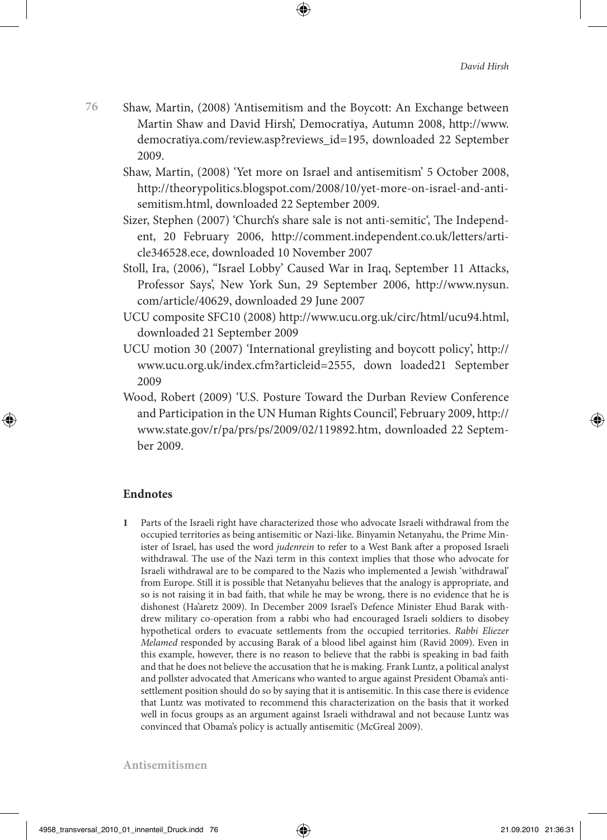- Shaw, Martin, (2008) 'Antisemitism and the Boycott: An Exchange between Martin Shaw and David Hirsh', Democratiya, Autumn 2008, http://www. democratiya.com/review.asp?reviews\_id=195, downloaded 22 September 2009.
	- Shaw, Martin, (2008) 'Yet more on Israel and antisemitism' 5 October 2008, http://theorypolitics.blogspot.com/2008/10/yet-more-on-israel-and-antisemitism.html, downloaded 22 September 2009.
	- Sizer, Stephen (2007) 'Church's share sale is not anti-semitic', The Independent, 20 February 2006, http://comment.independent.co.uk/letters/article346528.ece, downloaded 10 November 2007
	- Stoll, Ira, (2006), "Israel Lobby' Caused War in Iraq, September 11 Attacks, Professor Says', New York Sun, 29 September 2006, http://www.nysun. com/article/40629, downloaded 29 June 2007
	- UCU composite SFC10 (2008) http://www.ucu.org.uk/circ/html/ucu94.html, downloaded 21 September 2009
	- UCU motion 30 (2007) 'International greylisting and boycott policy', http:// www.ucu.org.uk/index.cfm?articleid=2555, down loaded21 September 2009
	- Wood, Robert (2009) 'U.S. Posture Toward the Durban Review Conference and Participation in the UN Human Rights Council', February 2009, http:// www.state.gov/r/pa/prs/ps/2009/02/119892.htm, downloaded 22 September 2009.

## **Endnotes**

**1** Parts of the Israeli right have characterized those who advocate Israeli withdrawal from the occupied territories as being antisemitic or Nazi-like. Binyamin Netanyahu, the Prime Minister of Israel, has used the word *judenrein* to refer to a West Bank after a proposed Israeli withdrawal. The use of the Nazi term in this context implies that those who advocate for Israeli withdrawal are to be compared to the Nazis who implemented a Jewish 'withdrawal' from Europe. Still it is possible that Netanyahu believes that the analogy is appropriate, and so is not raising it in bad faith, that while he may be wrong, there is no evidence that he is dishonest (Ha'aretz 2009). In December 2009 Israel's Defence Minister Ehud Barak withdrew military co-operation from a rabbi who had encouraged Israeli soldiers to disobey hypothetical orders to evacuate settlements from the occupied territories. *Rabbi Eliezer Melamed* responded by accusing Barak of a blood libel against him (Ravid 2009). Even in this example, however, there is no reason to believe that the rabbi is speaking in bad faith and that he does not believe the accusation that he is making. Frank Luntz, a political analyst and pollster advocated that Americans who wanted to argue against President Obama's antisettlement position should do so by saying that it is antisemitic. In this case there is evidence that Luntz was motivated to recommend this characterization on the basis that it worked well in focus groups as an argument against Israeli withdrawal and not because Luntz was convinced that Obama's policy is actually antisemitic (McGreal 2009).